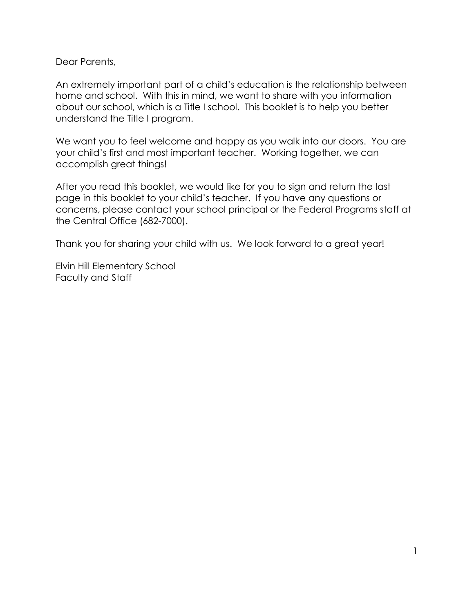Dear Parents,

An extremely important part of a child's education is the relationship between home and school. With this in mind, we want to share with you information about our school, which is a Title I school. This booklet is to help you better understand the Title I program.

We want you to feel welcome and happy as you walk into our doors. You are your child's first and most important teacher. Working together, we can accomplish great things!

After you read this booklet, we would like for you to sign and return the last page in this booklet to your child's teacher. If you have any questions or concerns, please contact your school principal or the Federal Programs staff at the Central Office (682-7000).

Thank you for sharing your child with us. We look forward to a great year!

Elvin Hill Elementary School Faculty and Staff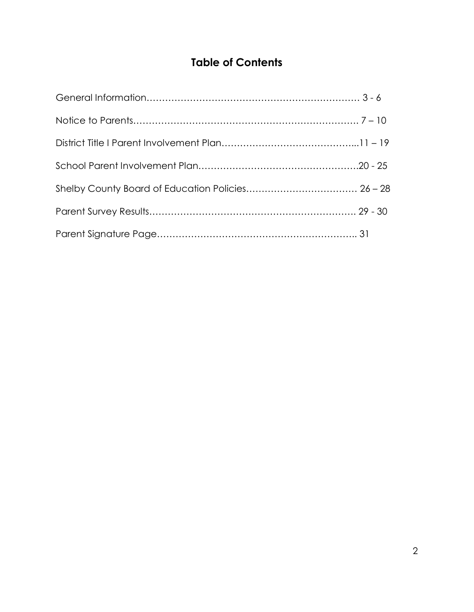# **Table of Contents**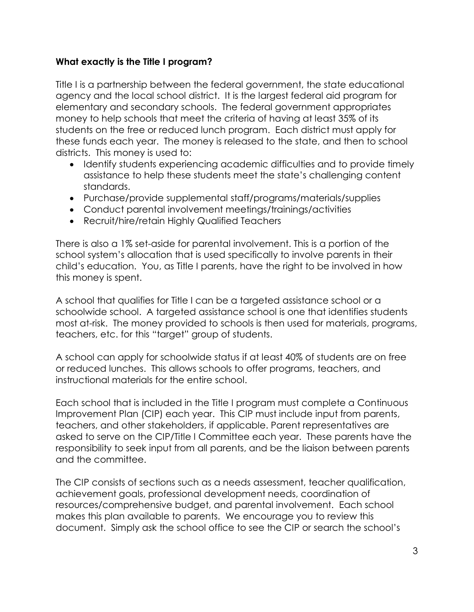#### **What exactly is the Title I program?**

Title I is a partnership between the federal government, the state educational agency and the local school district. It is the largest federal aid program for elementary and secondary schools. The federal government appropriates money to help schools that meet the criteria of having at least 35% of its students on the free or reduced lunch program. Each district must apply for these funds each year. The money is released to the state, and then to school districts. This money is used to:

- Identify students experiencing academic difficulties and to provide timely assistance to help these students meet the state's challenging content standards.
- Purchase/provide supplemental staff/programs/materials/supplies
- Conduct parental involvement meetings/trainings/activities
- Recruit/hire/retain Highly Qualified Teachers

There is also a 1% set-aside for parental involvement. This is a portion of the school system's allocation that is used specifically to involve parents in their child's education. You, as Title I parents, have the right to be involved in how this money is spent.

A school that qualifies for Title I can be a targeted assistance school or a schoolwide school. A targeted assistance school is one that identifies students most at-risk. The money provided to schools is then used for materials, programs, teachers, etc. for this "target" group of students.

A school can apply for schoolwide status if at least 40% of students are on free or reduced lunches. This allows schools to offer programs, teachers, and instructional materials for the entire school.

Each school that is included in the Title I program must complete a Continuous Improvement Plan (CIP) each year. This CIP must include input from parents, teachers, and other stakeholders, if applicable. Parent representatives are asked to serve on the CIP/Title I Committee each year. These parents have the responsibility to seek input from all parents, and be the liaison between parents and the committee.

The CIP consists of sections such as a needs assessment, teacher qualification, achievement goals, professional development needs, coordination of resources/comprehensive budget, and parental involvement. Each school makes this plan available to parents. We encourage you to review this document. Simply ask the school office to see the CIP or search the school's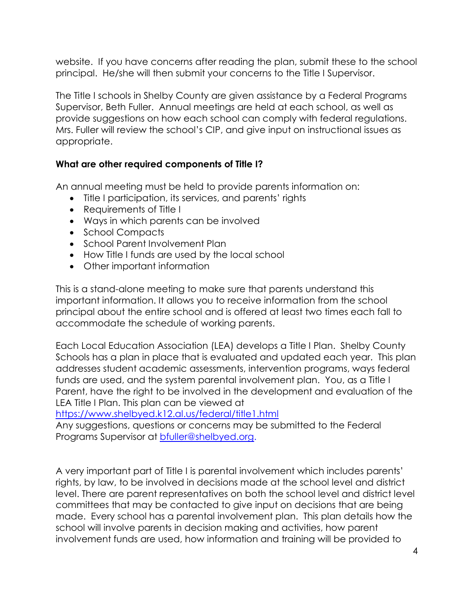website. If you have concerns after reading the plan, submit these to the school principal. He/she will then submit your concerns to the Title I Supervisor.

The Title I schools in Shelby County are given assistance by a Federal Programs Supervisor, Beth Fuller. Annual meetings are held at each school, as well as provide suggestions on how each school can comply with federal regulations. Mrs. Fuller will review the school's CIP, and give input on instructional issues as appropriate.

#### **What are other required components of Title I?**

An annual meeting must be held to provide parents information on:

- Title I participation, its services, and parents' rights
- Requirements of Title I
- Ways in which parents can be involved
- School Compacts
- School Parent Involvement Plan
- How Title I funds are used by the local school
- Other important information

This is a stand-alone meeting to make sure that parents understand this important information. It allows you to receive information from the school principal about the entire school and is offered at least two times each fall to accommodate the schedule of working parents.

Each Local Education Association (LEA) develops a Title I Plan. Shelby County Schools has a plan in place that is evaluated and updated each year. This plan addresses student academic assessments, intervention programs, ways federal funds are used, and the system parental involvement plan. You, as a Title I Parent, have the right to be involved in the development and evaluation of the LEA Title I Plan. This plan can be viewed at

<https://www.shelbyed.k12.al.us/federal/title1.html>

Any suggestions, questions or concerns may be submitted to the Federal Programs Supervisor at **bfuller@shelbyed.org.** 

A very important part of Title I is parental involvement which includes parents' rights, by law, to be involved in decisions made at the school level and district level. There are parent representatives on both the school level and district level committees that may be contacted to give input on decisions that are being made. Every school has a parental involvement plan. This plan details how the school will involve parents in decision making and activities, how parent involvement funds are used, how information and training will be provided to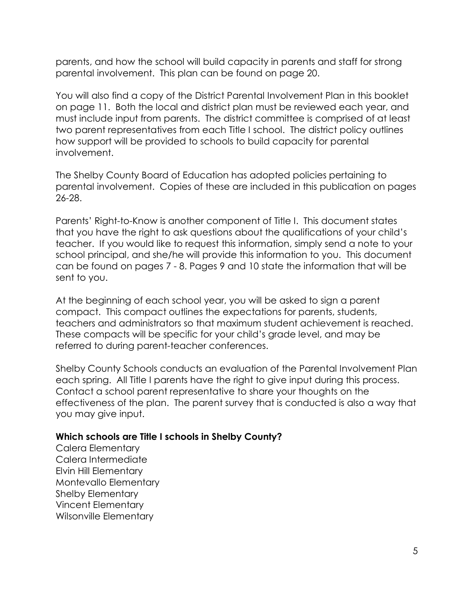parents, and how the school will build capacity in parents and staff for strong parental involvement. This plan can be found on page 20.

You will also find a copy of the District Parental Involvement Plan in this booklet on page 11. Both the local and district plan must be reviewed each year, and must include input from parents. The district committee is comprised of at least two parent representatives from each Title I school. The district policy outlines how support will be provided to schools to build capacity for parental involvement.

The Shelby County Board of Education has adopted policies pertaining to parental involvement. Copies of these are included in this publication on pages 26-28.

Parents' Right-to-Know is another component of Title I. This document states that you have the right to ask questions about the qualifications of your child's teacher. If you would like to request this information, simply send a note to your school principal, and she/he will provide this information to you. This document can be found on pages 7 - 8. Pages 9 and 10 state the information that will be sent to you.

At the beginning of each school year, you will be asked to sign a parent compact. This compact outlines the expectations for parents, students, teachers and administrators so that maximum student achievement is reached. These compacts will be specific for your child's grade level, and may be referred to during parent-teacher conferences.

Shelby County Schools conducts an evaluation of the Parental Involvement Plan each spring. All Title I parents have the right to give input during this process. Contact a school parent representative to share your thoughts on the effectiveness of the plan. The parent survey that is conducted is also a way that you may give input.

#### **Which schools are Title I schools in Shelby County?**

Calera Elementary Calera Intermediate Elvin Hill Elementary Montevallo Elementary Shelby Elementary Vincent Elementary Wilsonville Elementary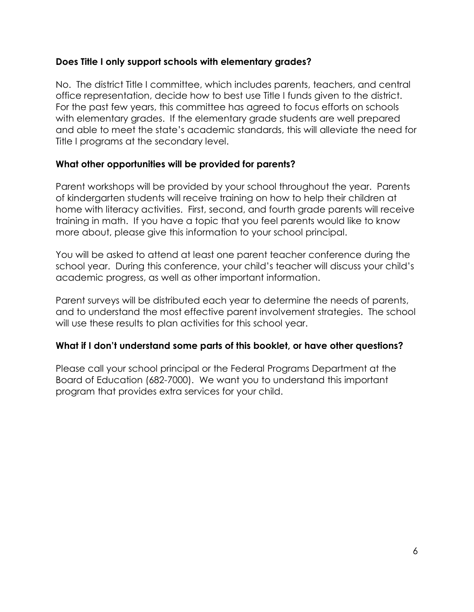#### **Does Title I only support schools with elementary grades?**

No. The district Title I committee, which includes parents, teachers, and central office representation, decide how to best use Title I funds given to the district. For the past few years, this committee has agreed to focus efforts on schools with elementary grades. If the elementary grade students are well prepared and able to meet the state's academic standards, this will alleviate the need for Title I programs at the secondary level.

#### **What other opportunities will be provided for parents?**

Parent workshops will be provided by your school throughout the year. Parents of kindergarten students will receive training on how to help their children at home with literacy activities. First, second, and fourth grade parents will receive training in math. If you have a topic that you feel parents would like to know more about, please give this information to your school principal.

You will be asked to attend at least one parent teacher conference during the school year. During this conference, your child's teacher will discuss your child's academic progress, as well as other important information.

Parent surveys will be distributed each year to determine the needs of parents, and to understand the most effective parent involvement strategies. The school will use these results to plan activities for this school year.

#### **What if I don't understand some parts of this booklet, or have other questions?**

Please call your school principal or the Federal Programs Department at the Board of Education (682-7000). We want you to understand this important program that provides extra services for your child.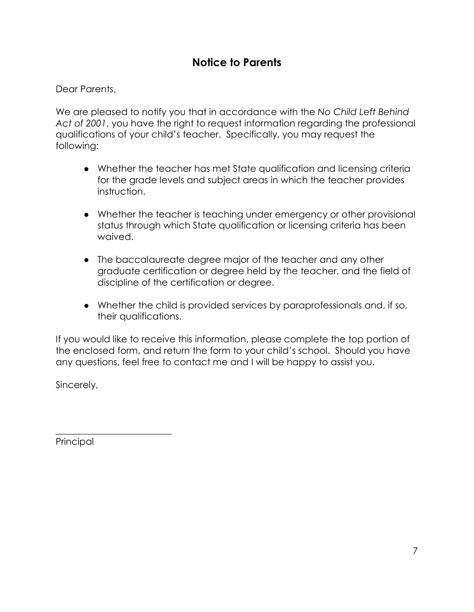# **Notice to Parents**

Dear Parents,

We are pleased to notify you that in accordance with the *No Child Left Behind Act of 2001*, you have the right to request information regarding the professional qualifications of your child's teacher. Specifically, you may request the following:

- Whether the teacher has met State qualification and licensing criteria for the grade levels and subject areas in which the teacher provides instruction.
- Whether the teacher is teaching under emergency or other provisional status through which State qualification or licensing criteria has been waived.
- The baccalaureate degree major of the teacher and any other graduate certification or degree held by the teacher, and the field of discipline of the certification or degree.
- Whether the child is provided services by paraprofessionals and, if so, their qualifications.

If you would like to receive this information, please complete the top portion of the enclosed form, and return the form to your child's school. Should you have any questions, feel free to contact me and I will be happy to assist you.

Sincerely,

Principal

\_\_\_\_\_\_\_\_\_\_\_\_\_\_\_\_\_\_\_\_\_\_\_\_\_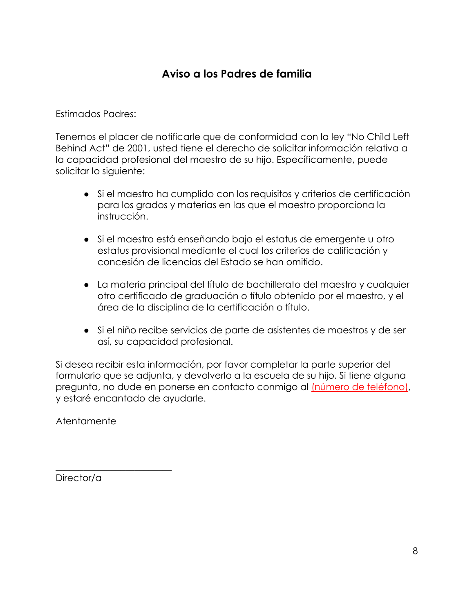# **Aviso a los Padres de familia**

Estimados Padres:

Tenemos el placer de notificarle que de conformidad con la ley "No Child Left Behind Act" de 2001, usted tiene el derecho de solicitar información relativa a la capacidad profesional del maestro de su hijo. Específicamente, puede solicitar lo siguiente:

- Si el maestro ha cumplido con los requisitos y criterios de certificación para los grados y materias en las que el maestro proporciona la instrucción.
- Si el maestro está enseñando bajo el estatus de emergente u otro estatus provisional mediante el cual los criterios de calificación y concesión de licencias del Estado se han omitido.
- La materia principal del título de bachillerato del maestro y cualquier otro certificado de graduación o título obtenido por el maestro, y el área de la disciplina de la certificación o título.
- Si el niño recibe servicios de parte de asistentes de maestros y de ser así, su capacidad profesional.

Si desea recibir esta información, por favor completar la parte superior del formulario que se adjunta, y devolverlo a la escuela de su hijo. Si tiene alguna pregunta, no dude en ponerse en contacto conmigo al (número de teléfono), y estaré encantado de ayudarle.

Atentamente

Director/a

 $\overline{\phantom{a}}$  , where  $\overline{\phantom{a}}$  , where  $\overline{\phantom{a}}$  , where  $\overline{\phantom{a}}$  ,  $\overline{\phantom{a}}$  ,  $\overline{\phantom{a}}$  ,  $\overline{\phantom{a}}$  ,  $\overline{\phantom{a}}$  ,  $\overline{\phantom{a}}$  ,  $\overline{\phantom{a}}$  ,  $\overline{\phantom{a}}$  ,  $\overline{\phantom{a}}$  ,  $\overline{\phantom{a}}$  ,  $\overline{\phantom{a}}$  ,  $\overline{\phantom$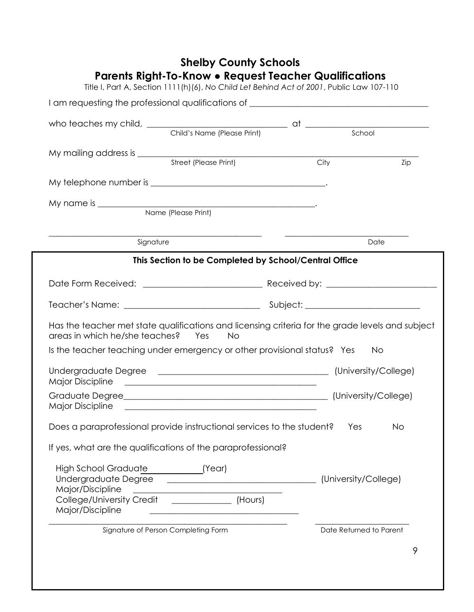|                                                                                                                                        | I am requesting the professional qualifications of _____________________________                                     |      |                         |
|----------------------------------------------------------------------------------------------------------------------------------------|----------------------------------------------------------------------------------------------------------------------|------|-------------------------|
|                                                                                                                                        |                                                                                                                      |      |                         |
|                                                                                                                                        |                                                                                                                      |      |                         |
|                                                                                                                                        |                                                                                                                      |      |                         |
|                                                                                                                                        |                                                                                                                      | City |                         |
|                                                                                                                                        |                                                                                                                      |      | Zip                     |
|                                                                                                                                        |                                                                                                                      |      |                         |
|                                                                                                                                        |                                                                                                                      |      |                         |
|                                                                                                                                        |                                                                                                                      |      |                         |
|                                                                                                                                        |                                                                                                                      |      |                         |
| Signature                                                                                                                              |                                                                                                                      |      | Date                    |
|                                                                                                                                        | This Section to be Completed by School/Central Office                                                                |      |                         |
|                                                                                                                                        |                                                                                                                      |      |                         |
|                                                                                                                                        |                                                                                                                      |      |                         |
|                                                                                                                                        |                                                                                                                      |      |                         |
|                                                                                                                                        |                                                                                                                      |      |                         |
| Has the teacher met state qualifications and licensing criteria for the grade levels and subject<br>areas in which he/she teaches? Yes | No No                                                                                                                |      |                         |
| Is the teacher teaching under emergency or other provisional status? Yes                                                               |                                                                                                                      |      | <b>No</b>               |
|                                                                                                                                        |                                                                                                                      |      |                         |
| <b>Major Discipline</b>                                                                                                                |                                                                                                                      |      |                         |
|                                                                                                                                        |                                                                                                                      |      |                         |
|                                                                                                                                        |                                                                                                                      |      |                         |
| Does a paraprofessional provide instructional services to the student?                                                                 |                                                                                                                      |      | Yes<br><b>No</b>        |
|                                                                                                                                        |                                                                                                                      |      |                         |
| If yes, what are the qualifications of the paraprofessional?                                                                           |                                                                                                                      |      |                         |
| High School Graduate _______________(Year)                                                                                             |                                                                                                                      |      |                         |
| Undergraduate Degree                                                                                                                   | <u> 2000 - Andrea Andrews, amerikansk politik (</u>                                                                  |      | (University/College)    |
| Major/Discipline<br>College/University Credit ________________ (Hours)                                                                 | <u> 2000 - Jan James James Jan James James James James James James James James James James James James James Jam</u> |      |                         |
| Major/Discipline                                                                                                                       | <u> 1989 - Johann Barbara, martin amerikan basar da</u>                                                              |      |                         |
|                                                                                                                                        | Signature of Person Completing Form                                                                                  |      | Date Returned to Parent |

# **Shelby County Schools**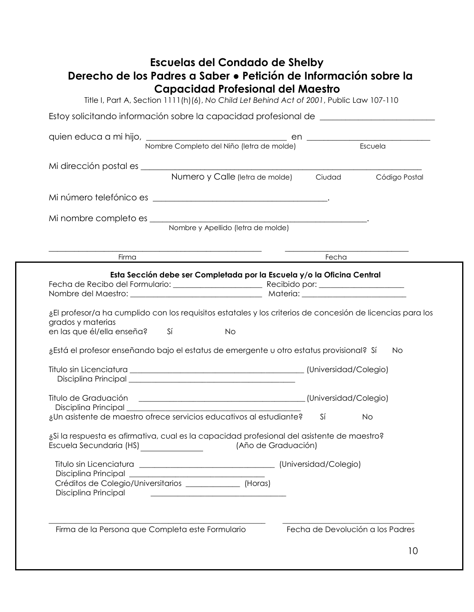## **Escuelas del Condado de Shelby Derecho de los Padres a Saber ● Petición de Información sobre la Capacidad Profesional del Maestro**

Title I, Part A, Section 1111(h)(6), *No Child Let Behind Act of 2001*, Public Law 107-110

|                                                 | quien educa a mi hijo, Nombre Completo del Niño (letra de molde) Escuela                                   |    |               |  |  |
|-------------------------------------------------|------------------------------------------------------------------------------------------------------------|----|---------------|--|--|
|                                                 |                                                                                                            |    |               |  |  |
|                                                 |                                                                                                            |    |               |  |  |
|                                                 | Numero y Calle (letra de molde) Ciudad                                                                     |    | Código Postal |  |  |
|                                                 |                                                                                                            |    |               |  |  |
|                                                 |                                                                                                            |    |               |  |  |
|                                                 |                                                                                                            |    |               |  |  |
| Firma                                           | <u> 1989 - Johann John Stein, mars an deus Frankryk († 1958)</u>                                           |    | Fecha         |  |  |
|                                                 | Esta Sección debe ser Completada por la Escuela y/o la Oficina Central                                     |    |               |  |  |
|                                                 |                                                                                                            |    |               |  |  |
|                                                 |                                                                                                            |    |               |  |  |
|                                                 |                                                                                                            |    |               |  |  |
|                                                 | ¿El profesor/a ha cumplido con los requisitos estatales y los criterios de concesión de licencias para los |    |               |  |  |
| grados y materias<br>en las que él/ella enseña? | $Si$ and $Si$<br><b>No</b>                                                                                 |    |               |  |  |
|                                                 | ¿Está el profesor enseñando bajo el estatus de emergente u otro estatus provisional? Sí                    |    | <b>No</b>     |  |  |
|                                                 |                                                                                                            |    |               |  |  |
|                                                 |                                                                                                            |    |               |  |  |
|                                                 |                                                                                                            |    |               |  |  |
|                                                 |                                                                                                            |    |               |  |  |
|                                                 | ¿Un asistente de maestro ofrece servicios educativos al estudiante?                                        | Sí | <b>No</b>     |  |  |
|                                                 | ¿Si la respuesta es afirmativa, cual es la capacidad profesional del asistente de maestro?                 |    |               |  |  |
|                                                 | Escuela Secundaria (HS) [Año de Graduación)                                                                |    |               |  |  |
|                                                 |                                                                                                            |    |               |  |  |
|                                                 |                                                                                                            |    |               |  |  |
|                                                 | Créditos de Colegio/Universitarios _______________ (Horas)                                                 |    |               |  |  |
| Disciplina Principal                            | <u> 1980 - Johann Barbara, martxa alemaniar a</u>                                                          |    |               |  |  |
|                                                 |                                                                                                            |    |               |  |  |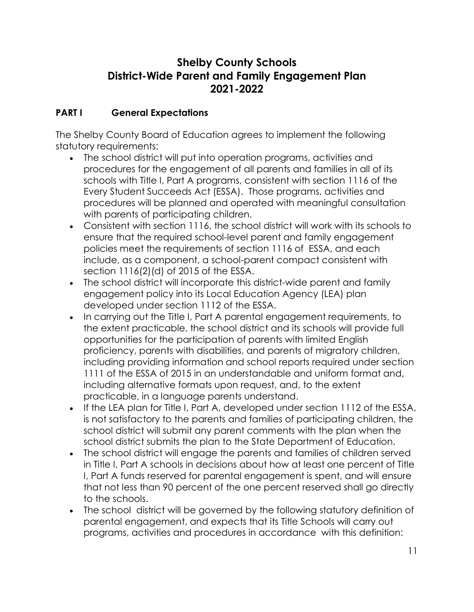# **Shelby County Schools District-Wide Parent and Family Engagement Plan 2021-2022**

#### **PART I General Expectations**

The Shelby County Board of Education agrees to implement the following statutory requirements:

- The school district will put into operation programs, activities and procedures for the engagement of all parents and families in all of its schools with Title I, Part A programs, consistent with section 1116 of the Every Student Succeeds Act (ESSA). Those programs, activities and procedures will be planned and operated with meaningful consultation with parents of participating children.
- Consistent with section 1116, the school district will work with its schools to ensure that the required school-level parent and family engagement policies meet the requirements of section 1116 of ESSA, and each include, as a component, a school-parent compact consistent with section 1116(2)(d) of 2015 of the ESSA.
- The school district will incorporate this district-wide parent and family engagement policy into its Local Education Agency (LEA) plan developed under section 1112 of the ESSA.
- In carrying out the Title I, Part A parental engagement requirements, to the extent practicable, the school district and its schools will provide full opportunities for the participation of parents with limited English proficiency, parents with disabilities, and parents of migratory children, including providing information and school reports required under section 1111 of the ESSA of 2015 in an understandable and uniform format and, including alternative formats upon request, and, to the extent practicable, in a language parents understand.
- If the LEA plan for Title I, Part A, developed under section 1112 of the ESSA, is not satisfactory to the parents and families of participating children, the school district will submit any parent comments with the plan when the school district submits the plan to the State Department of Education.
- The school district will engage the parents and families of children served in Title I, Part A schools in decisions about how at least one percent of Title I, Part A funds reserved for parental engagement is spent, and will ensure that not less than 90 percent of the one percent reserved shall go directly to the schools.
- The school district will be governed by the following statutory definition of parental engagement, and expects that its Title Schools will carry out programs, activities and procedures in accordance with this definition: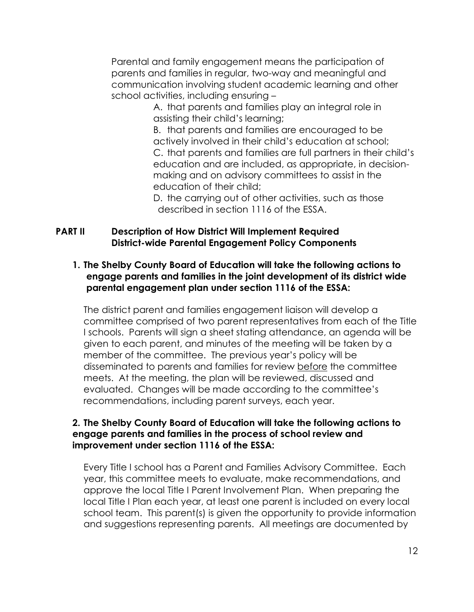Parental and family engagement means the participation of parents and families in regular, two-way and meaningful and communication involving student academic learning and other school activities, including ensuring –

> A. that parents and families play an integral role in assisting their child's learning;

B. that parents and families are encouraged to be actively involved in their child's education at school; C. that parents and families are full partners in their child's education and are included, as appropriate, in decisionmaking and on advisory committees to assist in the education of their child;

D. the carrying out of other activities, such as those described in section 1116 of the ESSA.

#### **PART II Description of How District Will Implement Required District-wide Parental Engagement Policy Components**

#### **1. The Shelby County Board of Education will take the following actions to engage parents and families in the joint development of its district wide parental engagement plan under section 1116 of the ESSA:**

The district parent and families engagement liaison will develop a committee comprised of two parent representatives from each of the Title I schools. Parents will sign a sheet stating attendance, an agenda will be given to each parent, and minutes of the meeting will be taken by a member of the committee. The previous year's policy will be disseminated to parents and families for review before the committee meets. At the meeting, the plan will be reviewed, discussed and evaluated. Changes will be made according to the committee's recommendations, including parent surveys, each year.

#### **2. The Shelby County Board of Education will take the following actions to engage parents and families in the process of school review and improvement under section 1116 of the ESSA:**

Every Title I school has a Parent and Families Advisory Committee. Each year, this committee meets to evaluate, make recommendations, and approve the local Title I Parent Involvement Plan. When preparing the local Title I Plan each year, at least one parent is included on every local school team. This parent(s) is given the opportunity to provide information and suggestions representing parents. All meetings are documented by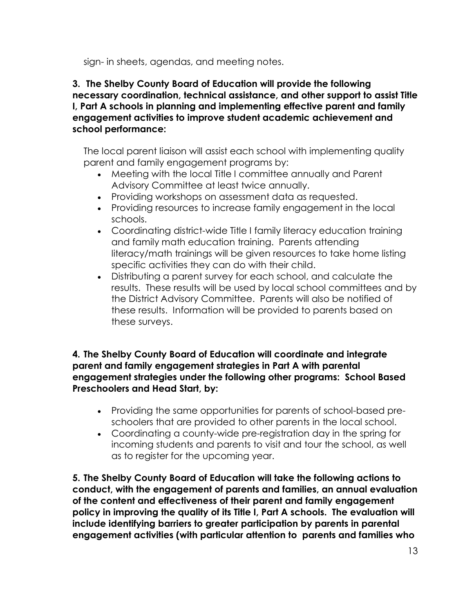sign- in sheets, agendas, and meeting notes.

**3. The Shelby County Board of Education will provide the following necessary coordination, technical assistance, and other support to assist Title I, Part A schools in planning and implementing effective parent and family engagement activities to improve student academic achievement and school performance:**

The local parent liaison will assist each school with implementing quality parent and family engagement programs by:

- Meeting with the local Title I committee annually and Parent Advisory Committee at least twice annually.
- Providing workshops on assessment data as requested.
- Providing resources to increase family engagement in the local schools.
- Coordinating district-wide Title I family literacy education training and family math education training. Parents attending literacy/math trainings will be given resources to take home listing specific activities they can do with their child.
- Distributing a parent survey for each school, and calculate the results. These results will be used by local school committees and by the District Advisory Committee. Parents will also be notified of these results. Information will be provided to parents based on these surveys.

#### **4. The Shelby County Board of Education will coordinate and integrate parent and family engagement strategies in Part A with parental engagement strategies under the following other programs: School Based Preschoolers and Head Start, by:**

- Providing the same opportunities for parents of school-based preschoolers that are provided to other parents in the local school.
- Coordinating a county-wide pre-registration day in the spring for incoming students and parents to visit and tour the school, as well as to register for the upcoming year.

**5. The Shelby County Board of Education will take the following actions to conduct, with the engagement of parents and families, an annual evaluation of the content and effectiveness of their parent and family engagement policy in improving the quality of its Title I, Part A schools. The evaluation will include identifying barriers to greater participation by parents in parental engagement activities (with particular attention to parents and families who**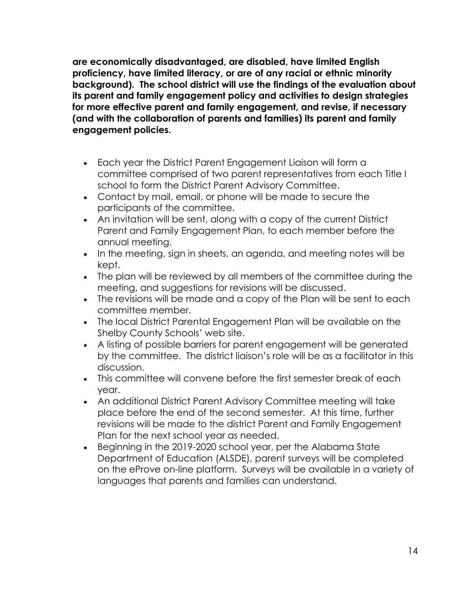**are economically disadvantaged, are disabled, have limited English proficiency, have limited literacy, or are of any racial or ethnic minority background). The school district will use the findings of the evaluation about its parent and family engagement policy and activities to design strategies for more effective parent and family engagement, and revise, if necessary (and with the collaboration of parents and families) its parent and family engagement policies.**

- Each year the District Parent Engagement Liaison will form a committee comprised of two parent representatives from each Title I school to form the District Parent Advisory Committee.
- Contact by mail, email, or phone will be made to secure the participants of the committee.
- An invitation will be sent, along with a copy of the current District Parent and Family Engagement Plan, to each member before the annual meeting.
- In the meeting, sign in sheets, an agenda, and meeting notes will be kept.
- The plan will be reviewed by all members of the committee during the meeting, and suggestions for revisions will be discussed.
- The revisions will be made and a copy of the Plan will be sent to each committee member.
- The local District Parental Engagement Plan will be available on the Shelby County Schools' web site.
- A listing of possible barriers for parent engagement will be generated by the committee. The district liaison's role will be as a facilitator in this discussion.
- This committee will convene before the first semester break of each year.
- An additional District Parent Advisory Committee meeting will take place before the end of the second semester. At this time, further revisions will be made to the district Parent and Family Engagement Plan for the next school year as needed.
- Beginning in the 2019-2020 school year, per the Alabama State Department of Education (ALSDE), parent surveys will be completed on the eProve on-line platform. Surveys will be available in a variety of languages that parents and families can understand.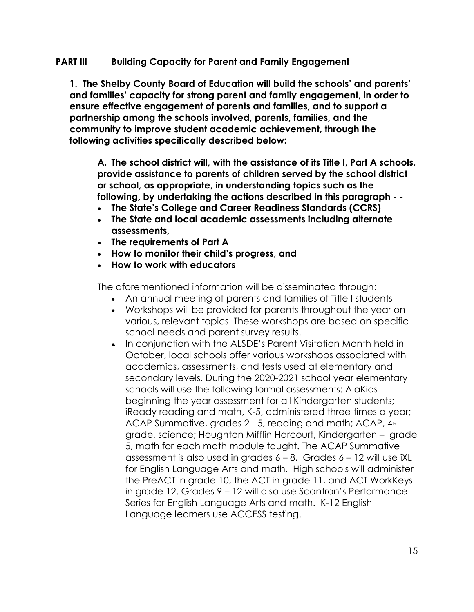#### **PART IIl Building Capacity for Parent and Family Engagement**

**1. The Shelby County Board of Education will build the schools' and parents' and families' capacity for strong parent and family engagement, in order to ensure effective engagement of parents and families, and to support a partnership among the schools involved, parents, families, and the community to improve student academic achievement, through the following activities specifically described below:**

**A. The school district will, with the assistance of its Title I, Part A schools, provide assistance to parents of children served by the school district or school, as appropriate, in understanding topics such as the following, by undertaking the actions described in this paragraph - -**

- **The State's College and Career Readiness Standards (CCRS)**
- **The State and local academic assessments including alternate assessments,**
- **The requirements of Part A**
- **How to monitor their child's progress, and**
- **How to work with educators**

The aforementioned information will be disseminated through:

- An annual meeting of parents and families of Title I students
- Workshops will be provided for parents throughout the year on various, relevant topics. These workshops are based on specific school needs and parent survey results.
- In conjunction with the ALSDE's Parent Visitation Month held in October, local schools offer various workshops associated with academics, assessments, and tests used at elementary and secondary levels. During the 2020-2021 school year elementary schools will use the following formal assessments: AlaKids beginning the year assessment for all Kindergarten students; iReady reading and math, K-5, administered three times a year; ACAP Summative, grades  $2 - 5$ , reading and math; ACAP,  $4<sub>th</sub>$ grade, science; Houghton Mifflin Harcourt, Kindergarten – grade 5, math for each math module taught. The ACAP Summative assessment is also used in grades  $6 - 8$ . Grades  $6 - 12$  will use iXL for English Language Arts and math. High schools will administer the PreACT in grade 10, the ACT in grade 11, and ACT WorkKeys in grade 12. Grades 9 – 12 will also use Scantron's Performance Series for English Language Arts and math. K-12 English Language learners use ACCESS testing.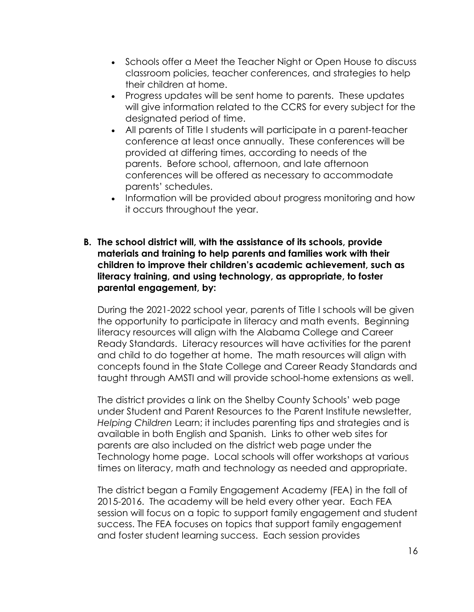- Schools offer a Meet the Teacher Night or Open House to discuss classroom policies, teacher conferences, and strategies to help their children at home.
- Progress updates will be sent home to parents. These updates will give information related to the CCRS for every subject for the designated period of time.
- All parents of Title I students will participate in a parent-teacher conference at least once annually. These conferences will be provided at differing times, according to needs of the parents. Before school, afternoon, and late afternoon conferences will be offered as necessary to accommodate parents' schedules.
- Information will be provided about progress monitoring and how it occurs throughout the year.
- **B. The school district will, with the assistance of its schools, provide materials and training to help parents and families work with their children to improve their children's academic achievement, such as literacy training, and using technology, as appropriate, to foster parental engagement, by:**

During the 2021-2022 school year, parents of Title I schools will be given the opportunity to participate in literacy and math events. Beginning literacy resources will align with the Alabama College and Career Ready Standards. Literacy resources will have activities for the parent and child to do together at home. The math resources will align with concepts found in the State College and Career Ready Standards and taught through AMSTI and will provide school-home extensions as well.

The district provides a link on the Shelby County Schools' web page under Student and Parent Resources to the Parent Institute newsletter, *Helping Children* Learn; it includes parenting tips and strategies and is available in both English and Spanish. Links to other web sites for parents are also included on the district web page under the Technology home page. Local schools will offer workshops at various times on literacy, math and technology as needed and appropriate.

The district began a Family Engagement Academy (FEA) in the fall of 2015-2016. The academy will be held every other year. Each FEA session will focus on a topic to support family engagement and student success. The FEA focuses on topics that support family engagement and foster student learning success. Each session provides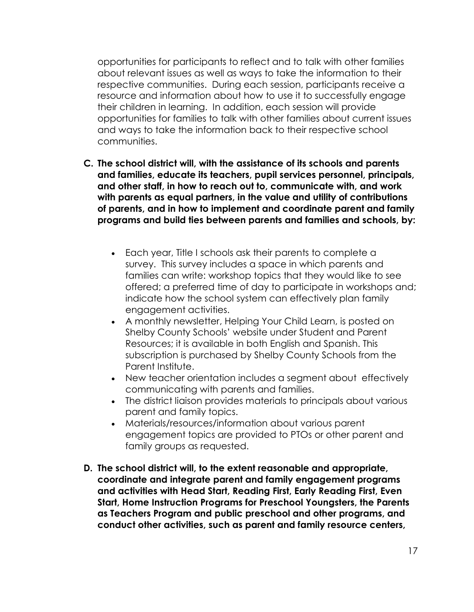opportunities for participants to reflect and to talk with other families about relevant issues as well as ways to take the information to their respective communities. During each session, participants receive a resource and information about how to use it to successfully engage their children in learning. In addition, each session will provide opportunities for families to talk with other families about current issues and ways to take the information back to their respective school communities.

- **C. The school district will, with the assistance of its schools and parents and families, educate its teachers, pupil services personnel, principals, and other staff, in how to reach out to, communicate with, and work with parents as equal partners, in the value and utility of contributions of parents, and in how to implement and coordinate parent and family programs and build ties between parents and families and schools, by:**
	- Each year, Title I schools ask their parents to complete a survey. This survey includes a space in which parents and families can write: workshop topics that they would like to see offered; a preferred time of day to participate in workshops and; indicate how the school system can effectively plan family engagement activities.
	- A monthly newsletter, Helping Your Child Learn, is posted on Shelby County Schools' website under Student and Parent Resources; it is available in both English and Spanish. This subscription is purchased by Shelby County Schools from the Parent Institute.
	- New teacher orientation includes a segment about effectively communicating with parents and families.
	- The district liaison provides materials to principals about various parent and family topics.
	- Materials/resources/information about various parent engagement topics are provided to PTOs or other parent and family groups as requested.
- **D. The school district will, to the extent reasonable and appropriate, coordinate and integrate parent and family engagement programs and activities with Head Start, Reading First, Early Reading First, Even Start, Home Instruction Programs for Preschool Youngsters, the Parents as Teachers Program and public preschool and other programs, and conduct other activities, such as parent and family resource centers,**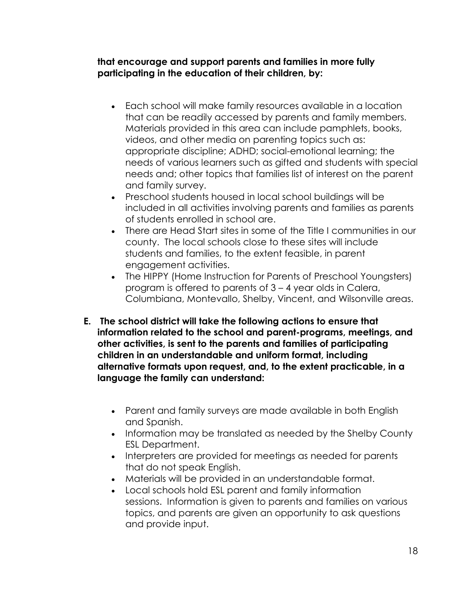**that encourage and support parents and families in more fully participating in the education of their children, by:**

- Each school will make family resources available in a location that can be readily accessed by parents and family members. Materials provided in this area can include pamphlets, books, videos, and other media on parenting topics such as: appropriate discipline; ADHD; social-emotional learning; the needs of various learners such as gifted and students with special needs and; other topics that families list of interest on the parent and family survey.
- Preschool students housed in local school buildings will be included in all activities involving parents and families as parents of students enrolled in school are.
- There are Head Start sites in some of the Title I communities in our county. The local schools close to these sites will include students and families, to the extent feasible, in parent engagement activities.
- The HIPPY (Home Instruction for Parents of Preschool Youngsters) program is offered to parents of 3 – 4 year olds in Calera, Columbiana, Montevallo, Shelby, Vincent, and Wilsonville areas.
- **E. The school district will take the following actions to ensure that information related to the school and parent-programs, meetings, and other activities, is sent to the parents and families of participating children in an understandable and uniform format, including alternative formats upon request, and, to the extent practicable, in a language the family can understand:**
	- Parent and family surveys are made available in both English and Spanish.
	- Information may be translated as needed by the Shelby County ESL Department.
	- Interpreters are provided for meetings as needed for parents that do not speak English.
	- Materials will be provided in an understandable format.
	- Local schools hold ESL parent and family information sessions. Information is given to parents and families on various topics, and parents are given an opportunity to ask questions and provide input.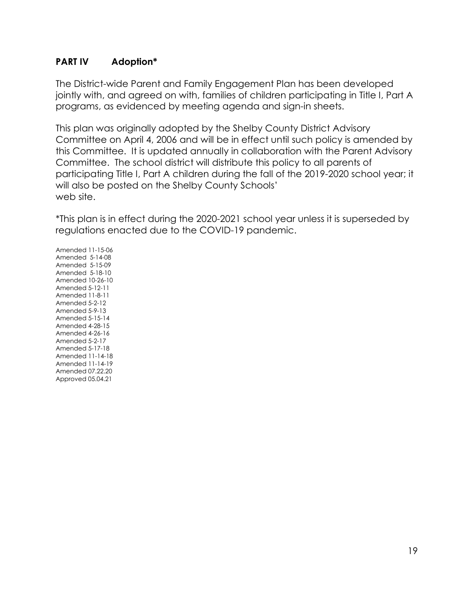#### **PART IV Adoption\***

The District-wide Parent and Family Engagement Plan has been developed jointly with, and agreed on with, families of children participating in Title I, Part A programs, as evidenced by meeting agenda and sign-in sheets.

This plan was originally adopted by the Shelby County District Advisory Committee on April 4, 2006 and will be in effect until such policy is amended by this Committee. It is updated annually in collaboration with the Parent Advisory Committee. The school district will distribute this policy to all parents of participating Title I, Part A children during the fall of the 2019-2020 school year; it will also be posted on the Shelby County Schools' web site.

\*This plan is in effect during the 2020-2021 school year unless it is superseded by regulations enacted due to the COVID-19 pandemic.

Amended 11-15-06 Amended 5-14-08 Amended 5-15-09 Amended 5-18-10 Amended 10-26-10 Amended 5-12-11 Amended 11-8-11 Amended 5-2-12 Amended 5-9-13 Amended 5-15-14 Amended 4-28-15 Amended 4-26-16 Amended 5-2-17 Amended 5-17-18 Amended 11-14-18 Amended 11-14-19 Amended 07.22.20 Approved 05.04.21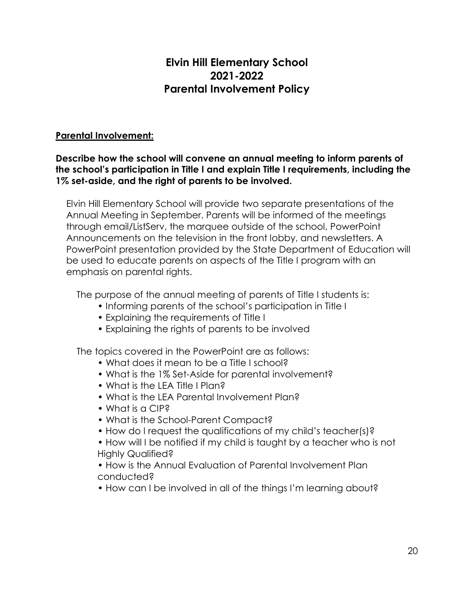# **Elvin Hill Elementary School 2021-2022 Parental Involvement Policy**

#### **Parental Involvement:**

#### **Describe how the school will convene an annual meeting to inform parents of the school's participation in Title I and explain Title I requirements, including the 1% set-aside, and the right of parents to be involved.**

Elvin Hill Elementary School will provide two separate presentations of the Annual Meeting in September. Parents will be informed of the meetings through email/ListServ, the marquee outside of the school, PowerPoint Announcements on the television in the front lobby, and newsletters. A PowerPoint presentation provided by the State Department of Education will be used to educate parents on aspects of the Title I program with an emphasis on parental rights.

The purpose of the annual meeting of parents of Title I students is:

- Informing parents of the school's participation in Title I
- Explaining the requirements of Title I
- Explaining the rights of parents to be involved

The topics covered in the PowerPoint are as follows:

- What does it mean to be a Title I school?
- What is the 1% Set-Aside for parental involvement?
- What is the LFA Title I Plan?
- What is the LEA Parental Involvement Plan?
- What is a CIP?
- What is the School-Parent Compact?
- How do I request the qualifications of my child's teacher(s)?
- How will I be notified if my child is taught by a teacher who is not Highly Qualified?

• How is the Annual Evaluation of Parental Involvement Plan conducted?

• How can I be involved in all of the things I'm learning about?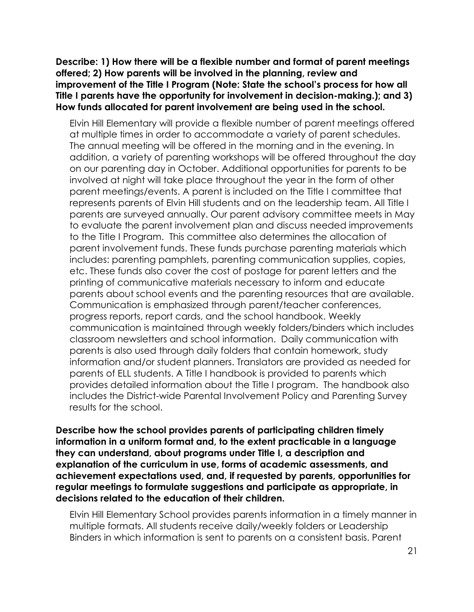**Describe: 1) How there will be a flexible number and format of parent meetings offered; 2) How parents will be involved in the planning, review and improvement of the Title I Program (Note: State the school's process for how all Title I parents have the opportunity for involvement in decision-making.); and 3) How funds allocated for parent involvement are being used in the school.** 

Elvin Hill Elementary will provide a flexible number of parent meetings offered at multiple times in order to accommodate a variety of parent schedules. The annual meeting will be offered in the morning and in the evening. In addition, a variety of parenting workshops will be offered throughout the day on our parenting day in October. Additional opportunities for parents to be involved at night will take place throughout the year in the form of other parent meetings/events. A parent is included on the Title I committee that represents parents of Elvin Hill students and on the leadership team. All Title I parents are surveyed annually. Our parent advisory committee meets in May to evaluate the parent involvement plan and discuss needed improvements to the Title I Program. This committee also determines the allocation of parent involvement funds. These funds purchase parenting materials which includes: parenting pamphlets, parenting communication supplies, copies, etc. These funds also cover the cost of postage for parent letters and the printing of communicative materials necessary to inform and educate parents about school events and the parenting resources that are available. Communication is emphasized through parent/teacher conferences, progress reports, report cards, and the school handbook. Weekly communication is maintained through weekly folders/binders which includes classroom newsletters and school information. Daily communication with parents is also used through daily folders that contain homework, study information and/or student planners. Translators are provided as needed for parents of ELL students. A Title I handbook is provided to parents which provides detailed information about the Title I program. The handbook also includes the District-wide Parental Involvement Policy and Parenting Survey results for the school.

**Describe how the school provides parents of participating children timely information in a uniform format and, to the extent practicable in a language they can understand, about programs under Title I, a description and explanation of the curriculum in use, forms of academic assessments, and achievement expectations used, and, if requested by parents, opportunities for regular meetings to formulate suggestions and participate as appropriate, in decisions related to the education of their children.** 

Elvin Hill Elementary School provides parents information in a timely manner in multiple formats. All students receive daily/weekly folders or Leadership Binders in which information is sent to parents on a consistent basis. Parent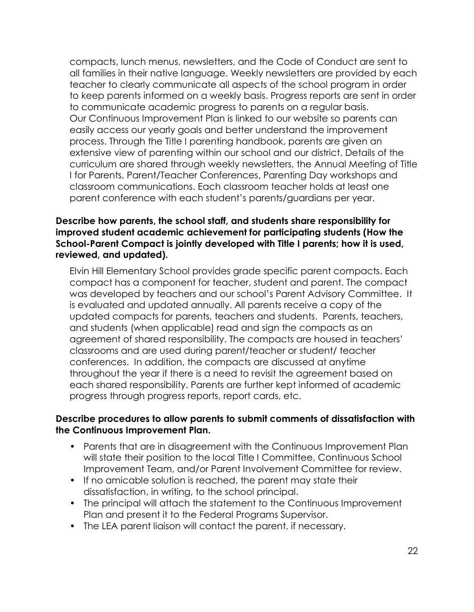compacts, lunch menus, newsletters, and the Code of Conduct are sent to all families in their native language. Weekly newsletters are provided by each teacher to clearly communicate all aspects of the school program in order to keep parents informed on a weekly basis. Progress reports are sent in order to communicate academic progress to parents on a regular basis. Our Continuous Improvement Plan is linked to our website so parents can easily access our yearly goals and better understand the improvement process. Through the Title I parenting handbook, parents are given an extensive view of parenting within our school and our district. Details of the curriculum are shared through weekly newsletters, the Annual Meeting of Title I for Parents, Parent/Teacher Conferences, Parenting Day workshops and classroom communications. Each classroom teacher holds at least one parent conference with each student's parents/guardians per year.

#### **Describe how parents, the school staff, and students share responsibility for improved student academic achievement for participating students (How the School-Parent Compact is jointly developed with Title I parents; how it is used, reviewed, and updated).**

Elvin Hill Elementary School provides grade specific parent compacts. Each compact has a component for teacher, student and parent. The compact was developed by teachers and our school's Parent Advisory Committee. It is evaluated and updated annually. All parents receive a copy of the updated compacts for parents, teachers and students. Parents, teachers, and students (when applicable) read and sign the compacts as an agreement of shared responsibility. The compacts are housed in teachers' classrooms and are used during parent/teacher or student/ teacher conferences. In addition, the compacts are discussed at anytime throughout the year if there is a need to revisit the agreement based on each shared responsibility. Parents are further kept informed of academic progress through progress reports, report cards, etc.

#### **Describe procedures to allow parents to submit comments of dissatisfaction with the Continuous Improvement Plan.**

- Parents that are in disagreement with the Continuous Improvement Plan will state their position to the local Title I Committee, Continuous School Improvement Team, and/or Parent Involvement Committee for review.
- If no amicable solution is reached, the parent may state their dissatisfaction, in writing, to the school principal.
- The principal will attach the statement to the Continuous Improvement Plan and present it to the Federal Programs Supervisor.
- The LEA parent liaison will contact the parent, if necessary.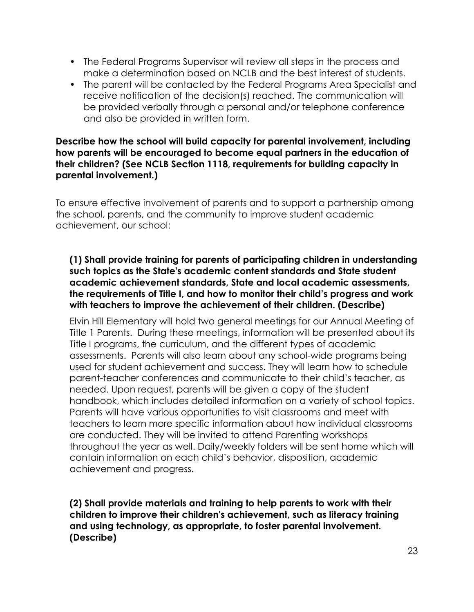- The Federal Programs Supervisor will review all steps in the process and make a determination based on NCLB and the best interest of students.
- The parent will be contacted by the Federal Programs Area Specialist and receive notification of the decision(s) reached. The communication will be provided verbally through a personal and/or telephone conference and also be provided in written form.

#### **Describe how the school will build capacity for parental involvement, including how parents will be encouraged to become equal partners in the education of their children? (See NCLB Section 1118, requirements for building capacity in parental involvement.)**

To ensure effective involvement of parents and to support a partnership among the school, parents, and the community to improve student academic achievement, our school:

#### **(1) Shall provide training for parents of participating children in understanding such topics as the State's academic content standards and State student academic achievement standards, State and local academic assessments, the requirements of Title I, and how to monitor their child's progress and work with teachers to improve the achievement of their children. (Describe)**

Elvin Hill Elementary will hold two general meetings for our Annual Meeting of Title 1 Parents. During these meetings, information will be presented about its Title I programs, the curriculum, and the different types of academic assessments. Parents will also learn about any school-wide programs being used for student achievement and success. They will learn how to schedule parent-teacher conferences and communicate to their child's teacher, as needed. Upon request, parents will be given a copy of the student handbook, which includes detailed information on a variety of school topics. Parents will have various opportunities to visit classrooms and meet with teachers to learn more specific information about how individual classrooms are conducted. They will be invited to attend Parenting workshops throughout the year as well. Daily/weekly folders will be sent home which will contain information on each child's behavior, disposition, academic achievement and progress.

**(2) Shall provide materials and training to help parents to work with their children to improve their children's achievement, such as literacy training and using technology, as appropriate, to foster parental involvement. (Describe)**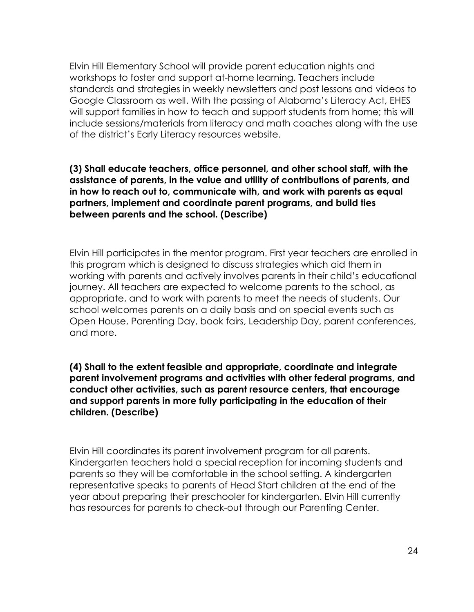Elvin Hill Elementary School will provide parent education nights and workshops to foster and support at-home learning. Teachers include standards and strategies in weekly newsletters and post lessons and videos to Google Classroom as well. With the passing of Alabama's Literacy Act, EHES will support families in how to teach and support students from home; this will include sessions/materials from literacy and math coaches along with the use of the district's Early Literacy resources website.

**(3) Shall educate teachers, office personnel, and other school staff, with the assistance of parents, in the value and utility of contributions of parents, and in how to reach out to, communicate with, and work with parents as equal partners, implement and coordinate parent programs, and build ties between parents and the school. (Describe)** 

Elvin Hill participates in the mentor program. First year teachers are enrolled in this program which is designed to discuss strategies which aid them in working with parents and actively involves parents in their child's educational journey. All teachers are expected to welcome parents to the school, as appropriate, and to work with parents to meet the needs of students. Our school welcomes parents on a daily basis and on special events such as Open House, Parenting Day, book fairs, Leadership Day, parent conferences, and more.

**(4) Shall to the extent feasible and appropriate, coordinate and integrate parent involvement programs and activities with other federal programs, and conduct other activities, such as parent resource centers, that encourage and support parents in more fully participating in the education of their children. (Describe)**

Elvin Hill coordinates its parent involvement program for all parents. Kindergarten teachers hold a special reception for incoming students and parents so they will be comfortable in the school setting. A kindergarten representative speaks to parents of Head Start children at the end of the year about preparing their preschooler for kindergarten. Elvin Hill currently has resources for parents to check-out through our Parenting Center.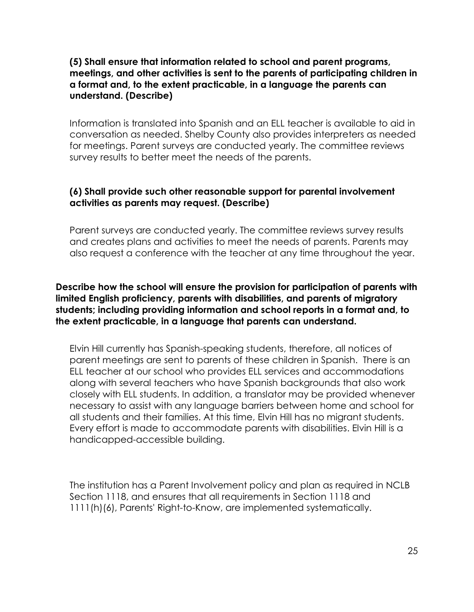#### **(5) Shall ensure that information related to school and parent programs, meetings, and other activities is sent to the parents of participating children in a format and, to the extent practicable, in a language the parents can understand. (Describe)**

Information is translated into Spanish and an ELL teacher is available to aid in conversation as needed. Shelby County also provides interpreters as needed for meetings. Parent surveys are conducted yearly. The committee reviews survey results to better meet the needs of the parents.

#### **(6) Shall provide such other reasonable support for parental involvement activities as parents may request. (Describe)**

Parent surveys are conducted yearly. The committee reviews survey results and creates plans and activities to meet the needs of parents. Parents may also request a conference with the teacher at any time throughout the year.

#### **Describe how the school will ensure the provision for participation of parents with limited English proficiency, parents with disabilities, and parents of migratory students; including providing information and school reports in a format and, to the extent practicable, in a language that parents can understand.**

Elvin Hill currently has Spanish-speaking students, therefore, all notices of parent meetings are sent to parents of these children in Spanish. There is an ELL teacher at our school who provides ELL services and accommodations along with several teachers who have Spanish backgrounds that also work closely with ELL students. In addition, a translator may be provided whenever necessary to assist with any language barriers between home and school for all students and their families. At this time, Elvin Hill has no migrant students. Every effort is made to accommodate parents with disabilities. Elvin Hill is a handicapped-accessible building.

The institution has a Parent Involvement policy and plan as required in NCLB Section 1118, and ensures that all requirements in Section 1118 and 1111(h)(6), Parents' Right-to-Know, are implemented systematically.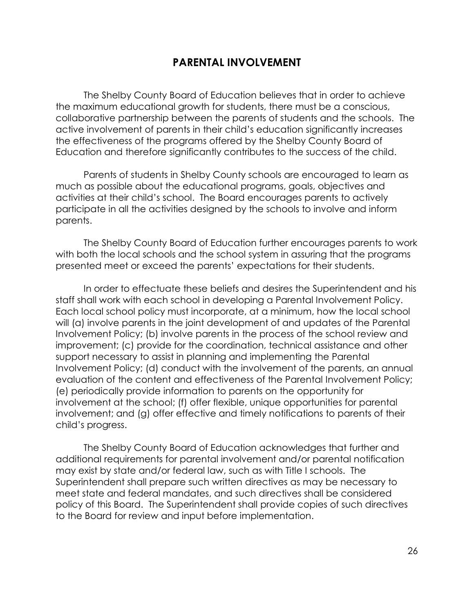## **PARENTAL INVOLVEMENT**

The Shelby County Board of Education believes that in order to achieve the maximum educational growth for students, there must be a conscious, collaborative partnership between the parents of students and the schools. The active involvement of parents in their child's education significantly increases the effectiveness of the programs offered by the Shelby County Board of Education and therefore significantly contributes to the success of the child.

Parents of students in Shelby County schools are encouraged to learn as much as possible about the educational programs, goals, objectives and activities at their child's school. The Board encourages parents to actively participate in all the activities designed by the schools to involve and inform parents.

The Shelby County Board of Education further encourages parents to work with both the local schools and the school system in assuring that the programs presented meet or exceed the parents' expectations for their students.

In order to effectuate these beliefs and desires the Superintendent and his staff shall work with each school in developing a Parental Involvement Policy. Each local school policy must incorporate, at a minimum, how the local school will (a) involve parents in the joint development of and updates of the Parental Involvement Policy; (b) involve parents in the process of the school review and improvement; (c) provide for the coordination, technical assistance and other support necessary to assist in planning and implementing the Parental Involvement Policy; (d) conduct with the involvement of the parents, an annual evaluation of the content and effectiveness of the Parental Involvement Policy; (e) periodically provide information to parents on the opportunity for involvement at the school; (f) offer flexible, unique opportunities for parental involvement; and (g) offer effective and timely notifications to parents of their child's progress.

The Shelby County Board of Education acknowledges that further and additional requirements for parental involvement and/or parental notification may exist by state and/or federal law, such as with Title I schools. The Superintendent shall prepare such written directives as may be necessary to meet state and federal mandates, and such directives shall be considered policy of this Board. The Superintendent shall provide copies of such directives to the Board for review and input before implementation.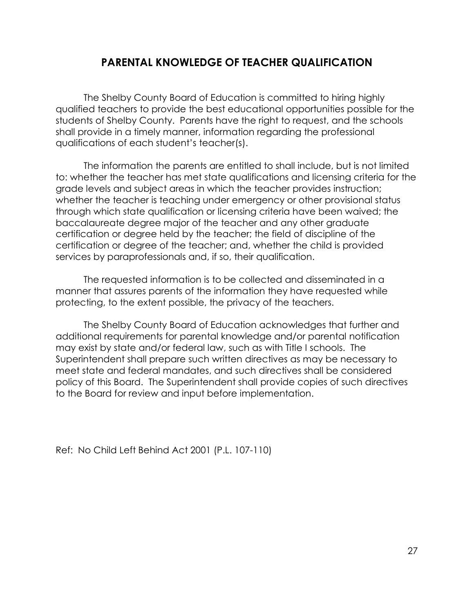# **PARENTAL KNOWLEDGE OF TEACHER QUALIFICATION**

The Shelby County Board of Education is committed to hiring highly qualified teachers to provide the best educational opportunities possible for the students of Shelby County. Parents have the right to request, and the schools shall provide in a timely manner, information regarding the professional qualifications of each student's teacher(s).

The information the parents are entitled to shall include, but is not limited to: whether the teacher has met state qualifications and licensing criteria for the grade levels and subject areas in which the teacher provides instruction; whether the teacher is teaching under emergency or other provisional status through which state qualification or licensing criteria have been waived; the baccalaureate degree major of the teacher and any other graduate certification or degree held by the teacher; the field of discipline of the certification or degree of the teacher; and, whether the child is provided services by paraprofessionals and, if so, their qualification.

The requested information is to be collected and disseminated in a manner that assures parents of the information they have requested while protecting, to the extent possible, the privacy of the teachers.

The Shelby County Board of Education acknowledges that further and additional requirements for parental knowledge and/or parental notification may exist by state and/or federal law, such as with Title I schools. The Superintendent shall prepare such written directives as may be necessary to meet state and federal mandates, and such directives shall be considered policy of this Board. The Superintendent shall provide copies of such directives to the Board for review and input before implementation.

Ref: No Child Left Behind Act 2001 (P.L. 107-110)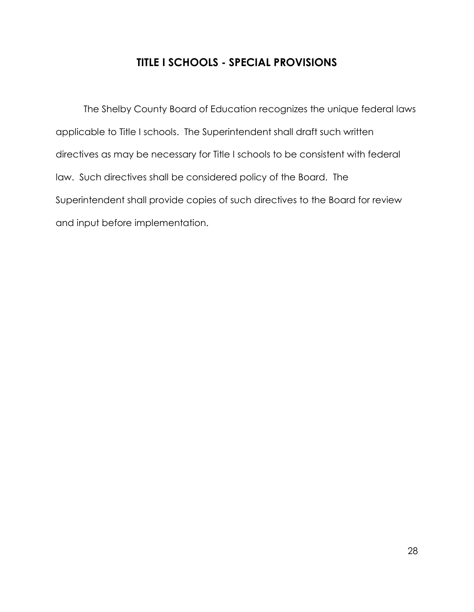# **TITLE I SCHOOLS - SPECIAL PROVISIONS**

The Shelby County Board of Education recognizes the unique federal laws applicable to Title I schools. The Superintendent shall draft such written directives as may be necessary for Title I schools to be consistent with federal law. Such directives shall be considered policy of the Board. The Superintendent shall provide copies of such directives to the Board for review and input before implementation.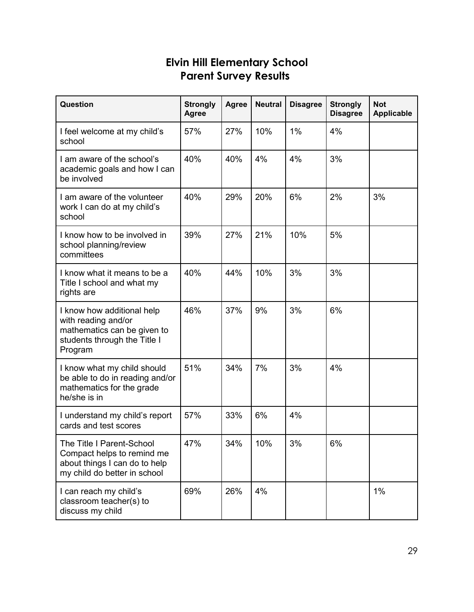# **Elvin Hill Elementary School Parent Survey Results**

| Question                                                                                                                    | <b>Strongly</b><br><b>Agree</b> | <b>Agree</b> | <b>Neutral</b> | <b>Disagree</b> | <b>Strongly</b><br><b>Disagree</b> | <b>Not</b><br><b>Applicable</b> |
|-----------------------------------------------------------------------------------------------------------------------------|---------------------------------|--------------|----------------|-----------------|------------------------------------|---------------------------------|
| I feel welcome at my child's<br>school                                                                                      | 57%                             | 27%          | 10%            | 1%              | 4%                                 |                                 |
| I am aware of the school's<br>academic goals and how I can<br>be involved                                                   | 40%                             | 40%          | 4%             | 4%              | 3%                                 |                                 |
| I am aware of the volunteer<br>work I can do at my child's<br>school                                                        | 40%                             | 29%          | 20%            | 6%              | 2%                                 | 3%                              |
| I know how to be involved in<br>school planning/review<br>committees                                                        | 39%                             | 27%          | 21%            | 10%             | 5%                                 |                                 |
| I know what it means to be a<br>Title I school and what my<br>rights are                                                    | 40%                             | 44%          | 10%            | 3%              | 3%                                 |                                 |
| I know how additional help<br>with reading and/or<br>mathematics can be given to<br>students through the Title I<br>Program | 46%                             | 37%          | 9%             | 3%              | 6%                                 |                                 |
| I know what my child should<br>be able to do in reading and/or<br>mathematics for the grade<br>he/she is in                 | 51%                             | 34%          | 7%             | 3%              | 4%                                 |                                 |
| I understand my child's report<br>cards and test scores                                                                     | 57%                             | 33%          | 6%             | 4%              |                                    |                                 |
| The Title I Parent-School<br>Compact helps to remind me<br>about things I can do to help<br>my child do better in school    | 47%                             | 34%          | 10%            | 3%              | 6%                                 |                                 |
| I can reach my child's<br>classroom teacher(s) to<br>discuss my child                                                       | 69%                             | 26%          | 4%             |                 |                                    | 1%                              |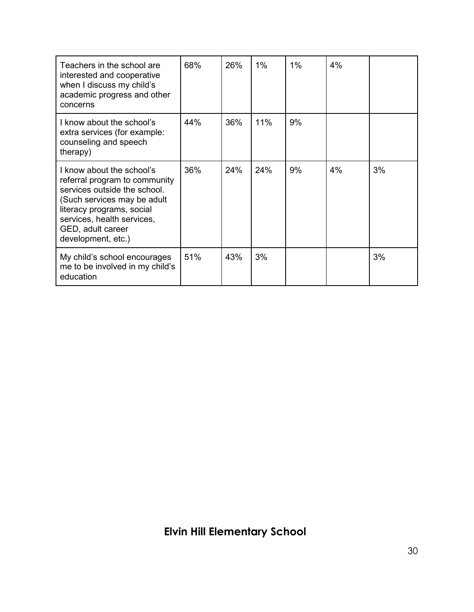| Teachers in the school are<br>interested and cooperative<br>when I discuss my child's<br>academic progress and other<br>concerns                                                                                                | 68% | 26% | $1\%$ | 1% | 4% |    |
|---------------------------------------------------------------------------------------------------------------------------------------------------------------------------------------------------------------------------------|-----|-----|-------|----|----|----|
| I know about the school's<br>extra services (for example:<br>counseling and speech<br>therapy)                                                                                                                                  | 44% | 36% | 11%   | 9% |    |    |
| I know about the school's<br>referral program to community<br>services outside the school.<br>(Such services may be adult<br>literacy programs, social<br>services, health services,<br>GED, adult career<br>development, etc.) | 36% | 24% | 24%   | 9% | 4% | 3% |
| My child's school encourages<br>me to be involved in my child's<br>education                                                                                                                                                    | 51% | 43% | 3%    |    |    | 3% |